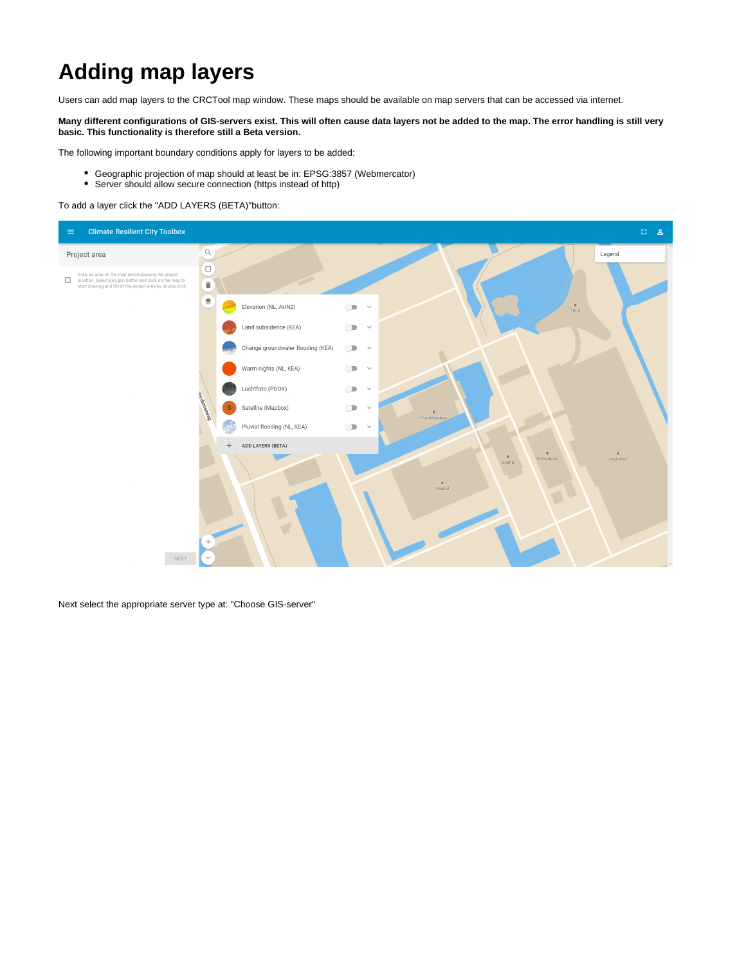## **Adding map layers**

Users can add map layers to the CRCTool map window. These maps should be available on map servers that can be accessed via internet.

**Many different configurations of GIS-servers exist. This will often cause data layers not be added to the map. The error handling is still very basic. This functionality is therefore still a Beta version.**

The following important boundary conditions apply for layers to be added:

- Geographic projection of map should at least be in: EPSG:3857 (Webmercator)
- Server should allow secure connection (https instead of http)

To add a layer click the "ADD LAYERS (BETA)"button:



Next select the appropriate server type at: "Choose GIS-server"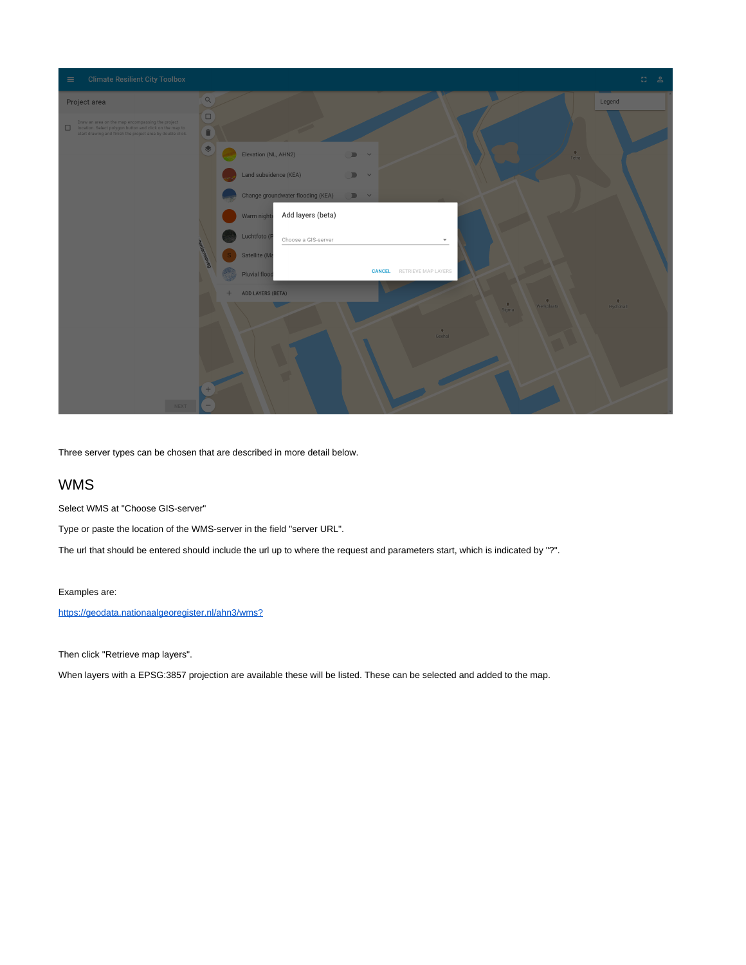| <b>Climate Resilient City Toolbox</b><br>$\equiv$                                                                                                                         | $\mathbb{C}^{\bullet}_{\mathbb{Z}}$<br>്ട                                                                                                    |
|---------------------------------------------------------------------------------------------------------------------------------------------------------------------------|----------------------------------------------------------------------------------------------------------------------------------------------|
| Project area                                                                                                                                                              | $\Omega$<br>Legend                                                                                                                           |
| Draw an area on the map encompassing the project<br>location. Select polygon button and click on the map to<br>start drawing and finish the project area by double click. | $\Box$<br>C.                                                                                                                                 |
|                                                                                                                                                                           | Elevation (NL, AHN2)<br>$\frac{6}{\pi}$<br>$\begin{array}{ccc}\n\hline\n\end{array}$                                                         |
|                                                                                                                                                                           | Land subsidence (KEA)<br>$\mathbb{D}$ v                                                                                                      |
|                                                                                                                                                                           | Change groundwater flooding (KEA)<br>$\blacksquare$                                                                                          |
|                                                                                                                                                                           | Add layers (beta)<br>Warm night                                                                                                              |
|                                                                                                                                                                           | Luchtfoto (I<br>Choose a GIS-server<br>$\overline{\phantom{a}}$                                                                              |
|                                                                                                                                                                           | Satellite (M<br>RETRIEVE MAP LAYERS<br><b>CANCEL</b>                                                                                         |
|                                                                                                                                                                           | Pluvial floo<br>ADD LAYERS (BETA)<br>$+$                                                                                                     |
|                                                                                                                                                                           | $\begin{array}{c} \mathord{\blacklozenge} \\ \mathord{\mathsf{Hydrolall}} \end{array}$<br>$\Omega$<br>$\frac{9}{\text{Sigma}}$<br>Werkplaats |
|                                                                                                                                                                           | $\overset{\bigcirc}{\mathsf{Geohal}}$                                                                                                        |
|                                                                                                                                                                           |                                                                                                                                              |
|                                                                                                                                                                           |                                                                                                                                              |
| NEXT                                                                                                                                                                      |                                                                                                                                              |

Three server types can be chosen that are described in more detail below.

## WMS

Select WMS at "Choose GIS-server"

Type or paste the location of the WMS-server in the field "server URL".

The url that should be entered should include the url up to where the request and parameters start, which is indicated by "?".

Examples are:

[https://geodata.nationaalgeoregister.nl/ahn3/wms?](https://geodata.nationaalgeoregister.nl/ahn3/wms?request=GetCapabilities&service=wms)

Then click "Retrieve map layers".

When layers with a EPSG:3857 projection are available these will be listed. These can be selected and added to the map.